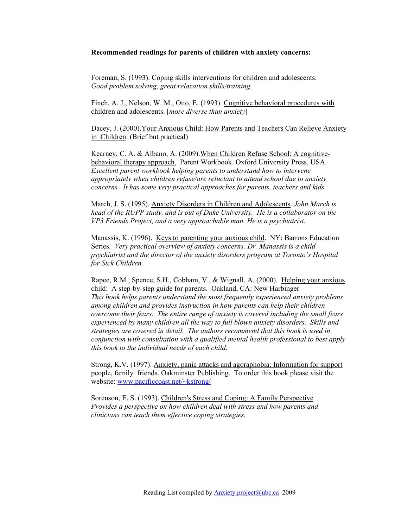#### **Recommended readings for parents of children with anxiety concerns:**

Foreman, S. (1993). Coping skills interventions for children and adolescents. *Good problem solving, great relaxation skills/training.* 

Finch, A. J., Nelson, W. M., Otto, E. (1993). Cognitive behavioral procedures with children and adolescents. [*more diverse than anxiety*]

Dacey, J. (2000).Your Anxious Child: How Parents and Teachers Can Relieve Anxiety in Children. (Brief but practical)

Kearney, C. A. & Albano, A. (2009).When Children Refuse School: A cognitivebehavioral therapy approach. Parent Workbook. Oxford University Press, USA. *Excellent parent workbook helping parents to understand how to intervene appropriately when children refuse/are reluctant to attend school due to anxiety concerns. It has some very practical approaches for parents, teachers and kids*

March, J. S. (1995). Anxiety Disorders in Children and Adolescents. *John March is head of the RUPP study, and is out of Duke University. He is a collaborator on the VP3 Friends Project, and a very approachable man. He is a psychiatrist.*

Manassis, K. (1996). Keys to parenting your anxious child. NY: Barrons Education Series. *Very practical overview of anxiety concerns. Dr. Manassis is a child psychiatrist and the director of the anxiety disorders program at Toronto's Hospital for Sick Children.* 

Rapee, R.M., Spence, S.H., Cobham, V., & Wignall, A. (2000). Helping your anxious child: A step-by-step guide for parents. Oakland, CA: New Harbinger *This book helps parents understand the most frequently experienced anxiety problems among children and provides instruction in how parents can help their children overcome their fears. The entire range of anxiety is covered including the small fears experienced by many children all the way to full blown anxiety disorders. Skills and strategies are covered in detail. The authors recommend that this book is used in conjunction with consultation with a qualified mental health professional to best apply this book to the individual needs of each child.*

Strong, K.V. (1997). Anxiety, panic attacks and agoraphobia: Information for support people, family friends. Oakminster Publishing. To order this book please visit the website: www.pacificcoast.net/~kstrong/

Sorenson, E. S. (1993). Children's Stress and Coping: A Family Perspective *Provides a perspective on how children deal with stress and how parents and clinicians can teach them effective coping strategies.*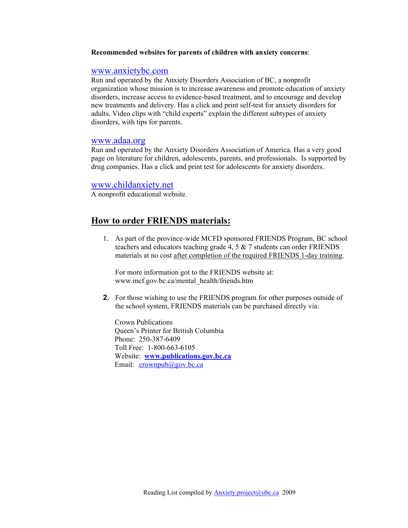#### **Recommended websites for parents of children with anxiety concerns**:

## www.anxietybc.com

Run and operated by the Anxiety Disorders Association of BC, a nonprofit organization whose mission is to increase awareness and promote education of anxiety disorders, increase access to evidence-based treatment, and to encourage and develop new treatments and delivery. Has a click and print self-test for anxiety disorders for adults. Video clips with "child experts" explain the different subtypes of anxiety disorders, with tips for parents.

### www.adaa.org

Run and operated by the Anxiety Disorders Association of America. Has a very good page on literature for children, adolescents, parents, and professionals. Is supported by drug companies. Has a click and print test for adolescents for anxiety disorders.

### www.childanxiety.net

A nonprofit educational website.

# **How to order FRIENDS materials:**

1. As part of the province-wide MCFD sponsored FRIENDS Program, BC school teachers and educators teaching grade 4, 5 & 7 students can order FRIENDS materials at no cost after completion of the required FRIENDS 1-day training.

For more information got to the FRIENDS website at: www.mcf.gov.bc.ca/mental\_health/friends.htm

**2.** For those wishing to use the FRIENDS program for other purposes outside of the school system, FRIENDS materials can be purchased directly via:

Crown Publications Queen's Printer for British Columbia Phone: 250-387-6409 Toll Free: 1-800-663-6105 Website: **www.publications.gov.bc.ca** Email: crownpub@gov.bc.ca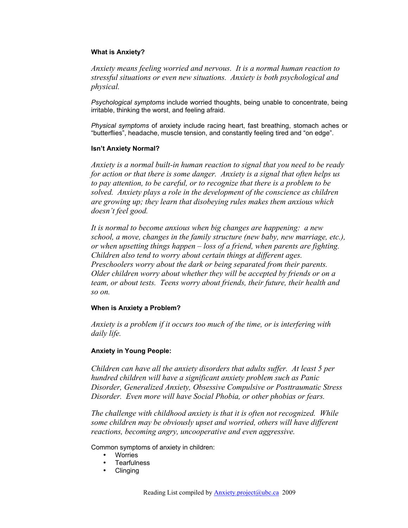### **What is Anxiety?**

*Anxiety means feeling worried and nervous. It is a normal human reaction to stressful situations or even new situations. Anxiety is both psychological and physical.*

*Psychological symptoms* include worried thoughts, being unable to concentrate, being irritable, thinking the worst, and feeling afraid.

*Physical symptoms* of anxiety include racing heart, fast breathing, stomach aches or "butterflies", headache, muscle tension, and constantly feeling tired and "on edge".

### **Isn't Anxiety Normal?**

*Anxiety is a normal built-in human reaction to signal that you need to be ready for action or that there is some danger. Anxiety is a signal that often helps us to pay attention, to be careful, or to recognize that there is a problem to be solved. Anxiety plays a role in the development of the conscience as children are growing up; they learn that disobeying rules makes them anxious which doesn't feel good.*

*It is normal to become anxious when big changes are happening: a new school, a move, changes in the family structure (new baby, new marriage, etc.), or when upsetting things happen – loss of a friend, when parents are fighting. Children also tend to worry about certain things at different ages. Preschoolers worry about the dark or being separated from their parents. Older children worry about whether they will be accepted by friends or on a team, or about tests. Teens worry about friends, their future, their health and so on.*

## **When is Anxiety a Problem?**

*Anxiety is a problem if it occurs too much of the time, or is interfering with daily life.*

### **Anxiety in Young People:**

*Children can have all the anxiety disorders that adults suffer. At least 5 per hundred children will have a significant anxiety problem such as Panic Disorder, Generalized Anxiety, Obsessive Compulsive or Posttraumatic Stress Disorder. Even more will have Social Phobia, or other phobias or fears.*

*The challenge with childhood anxiety is that it is often not recognized. While some children may be obviously upset and worried, others will have different reactions, becoming angry, uncooperative and even aggressive.*

Common symptoms of anxiety in children:

- **Worries**
- **Tearfulness**
- Clinging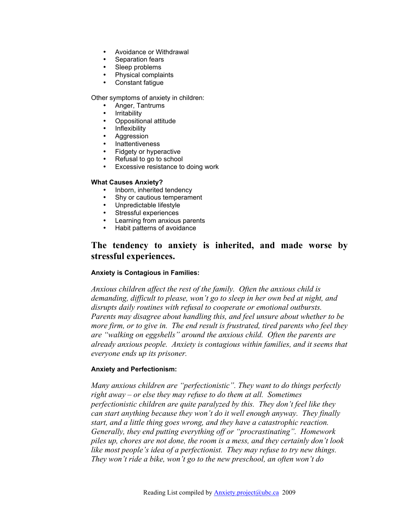- Avoidance or Withdrawal
- Separation fears
- Sleep problems
- Physical complaints
- Constant fatigue

Other symptoms of anxiety in children:

- Anger, Tantrums
- Irritability
- Oppositional attitude
- Inflexibility
- Aggression
- Inattentiveness
- Fidgety or hyperactive
- Refusal to go to school
- Excessive resistance to doing work

### **What Causes Anxiety?**

- Inborn, inherited tendency
- Shy or cautious temperament
- Unpredictable lifestyle
- Stressful experiences
- Learning from anxious parents
- Habit patterns of avoidance

# **The tendency to anxiety is inherited, and made worse by stressful experiences.**

## **Anxiety is Contagious in Families:**

*Anxious children affect the rest of the family. Often the anxious child is demanding, difficult to please, won't go to sleep in her own bed at night, and disrupts daily routines with refusal to cooperate or emotional outbursts. Parents may disagree about handling this, and feel unsure about whether to be more firm, or to give in. The end result is frustrated, tired parents who feel they are "walking on eggshells" around the anxious child. Often the parents are already anxious people. Anxiety is contagious within families, and it seems that everyone ends up its prisoner.*

## **Anxiety and Perfectionism:**

*Many anxious children are "perfectionistic". They want to do things perfectly right away – or else they may refuse to do them at all. Sometimes perfectionistic children are quite paralyzed by this. They don't feel like they can start anything because they won't do it well enough anyway. They finally start, and a little thing goes wrong, and they have a catastrophic reaction. Generally, they end putting everything off or "procrastinating". Homework piles up, chores are not done, the room is a mess, and they certainly don't look like most people's idea of a perfectionist. They may refuse to try new things. They won't ride a bike, won't go to the new preschool, an often won't do*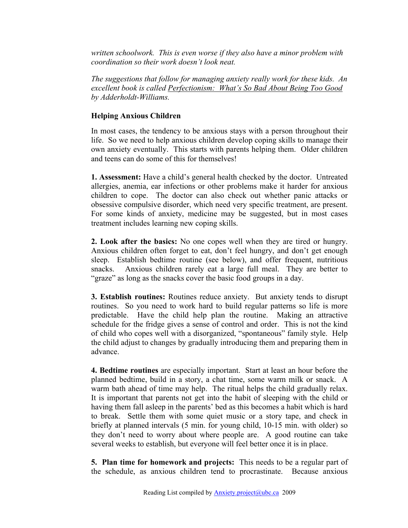*written schoolwork. This is even worse if they also have a minor problem with coordination so their work doesn't look neat.* 

*The suggestions that follow for managing anxiety really work for these kids. An excellent book is called Perfectionism: What's So Bad About Being Too Good by Adderholdt-Williams.*

## **Helping Anxious Children**

In most cases, the tendency to be anxious stays with a person throughout their life. So we need to help anxious children develop coping skills to manage their own anxiety eventually. This starts with parents helping them. Older children and teens can do some of this for themselves!

**1. Assessment:** Have a child's general health checked by the doctor. Untreated allergies, anemia, ear infections or other problems make it harder for anxious children to cope. The doctor can also check out whether panic attacks or obsessive compulsive disorder, which need very specific treatment, are present. For some kinds of anxiety, medicine may be suggested, but in most cases treatment includes learning new coping skills.

**2. Look after the basics:** No one copes well when they are tired or hungry. Anxious children often forget to eat, don't feel hungry, and don't get enough sleep. Establish bedtime routine (see below), and offer frequent, nutritious snacks. Anxious children rarely eat a large full meal. They are better to "graze" as long as the snacks cover the basic food groups in a day.

**3. Establish routines:** Routines reduce anxiety. But anxiety tends to disrupt routines. So you need to work hard to build regular patterns so life is more predictable. Have the child help plan the routine. Making an attractive schedule for the fridge gives a sense of control and order. This is not the kind of child who copes well with a disorganized, "spontaneous" family style. Help the child adjust to changes by gradually introducing them and preparing them in advance.

**4. Bedtime routines** are especially important. Start at least an hour before the planned bedtime, build in a story, a chat time, some warm milk or snack. A warm bath ahead of time may help. The ritual helps the child gradually relax. It is important that parents not get into the habit of sleeping with the child or having them fall asleep in the parents' bed as this becomes a habit which is hard to break. Settle them with some quiet music or a story tape, and check in briefly at planned intervals (5 min. for young child, 10-15 min. with older) so they don't need to worry about where people are. A good routine can take several weeks to establish, but everyone will feel better once it is in place.

**5. Plan time for homework and projects:** This needs to be a regular part of the schedule, as anxious children tend to procrastinate. Because anxious